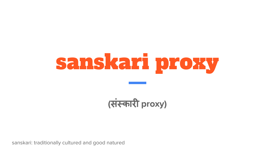# sanskari proxy

**(**संस्कारी **proxy)**

sanskari: traditionally cultured and good natured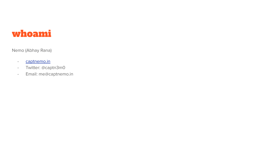### whoami

Nemo (Abhay Rana)

- [captnemo.in](https://captnemo.in)
- Twitter: @captn3m0
- Email: me@captnemo.in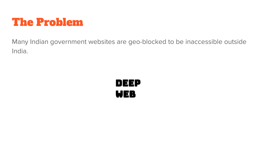

Many Indian government websites are geo-blocked to be inaccessible outside India.

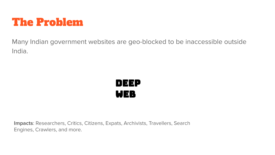

Many Indian government websites are geo-blocked to be inaccessible outside India.



**Impacts**: Researchers, Critics, Citizens, Expats, Archivists, Travellers, Search Engines, Crawlers, and more.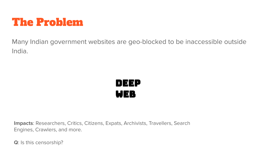

Many Indian government websites are geo-blocked to be inaccessible outside India.



**Impacts**: Researchers, Critics, Citizens, Expats, Archivists, Travellers, Search Engines, Crawlers, and more.

**Q**: Is this censorship?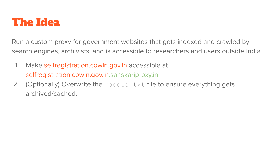

Run a custom proxy for government websites that gets indexed and crawled by search engines, archivists, and is accessible to researchers and users outside India.

- 1. Make selfregistration.cowin.gov.in accessible at selfregistration.cowin.gov.in.sanskariproxy.in
- 2. (Optionally) Overwrite the robots.txt file to ensure everything gets archived/cached.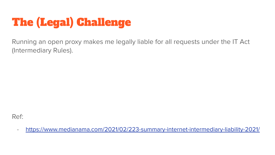## The (Legal) Challenge

Running an open proxy makes me legally liable for all requests under the IT Act (Intermediary Rules).

Ref:

- <https://www.medianama.com/2021/02/223-summary-internet-intermediary-liability-2021/>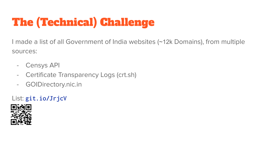## The (Technical) Challenge

I made a list of all Government of India websites (~12k Domains), from multiple sources:

- Censys API
- Certificate Transparency Logs (crt.sh)
- GOIDirectory.nic.in

#### List: **[git.io/JrjcV](https://git.io/JrjcV)**

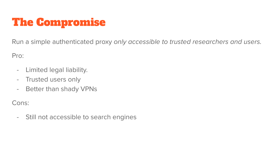## The Compromise

Run a simple authenticated proxy only accessible to trusted researchers and users.

Pro:

- Limited legal liability.
- Trusted users only
- Better than shady VPNs

Cons:

- Still not accessible to search engines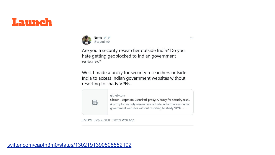## Launch



Are you a security researcher outside India? Do you hate getting geoblocked to Indian government websites?

 $...$ 

Well, I made a proxy for security researchers outside India to access Indian government websites without resorting to shady VPNs.



3:56 PM · Sep 5, 2020 · Twitter Web App

[twitter.com/captn3m0/status/1302191390508552192](https://twitter.com/captn3m0/status/1302191390508552192)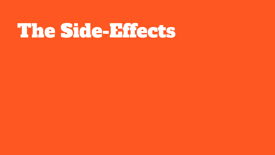## The Side-Effects